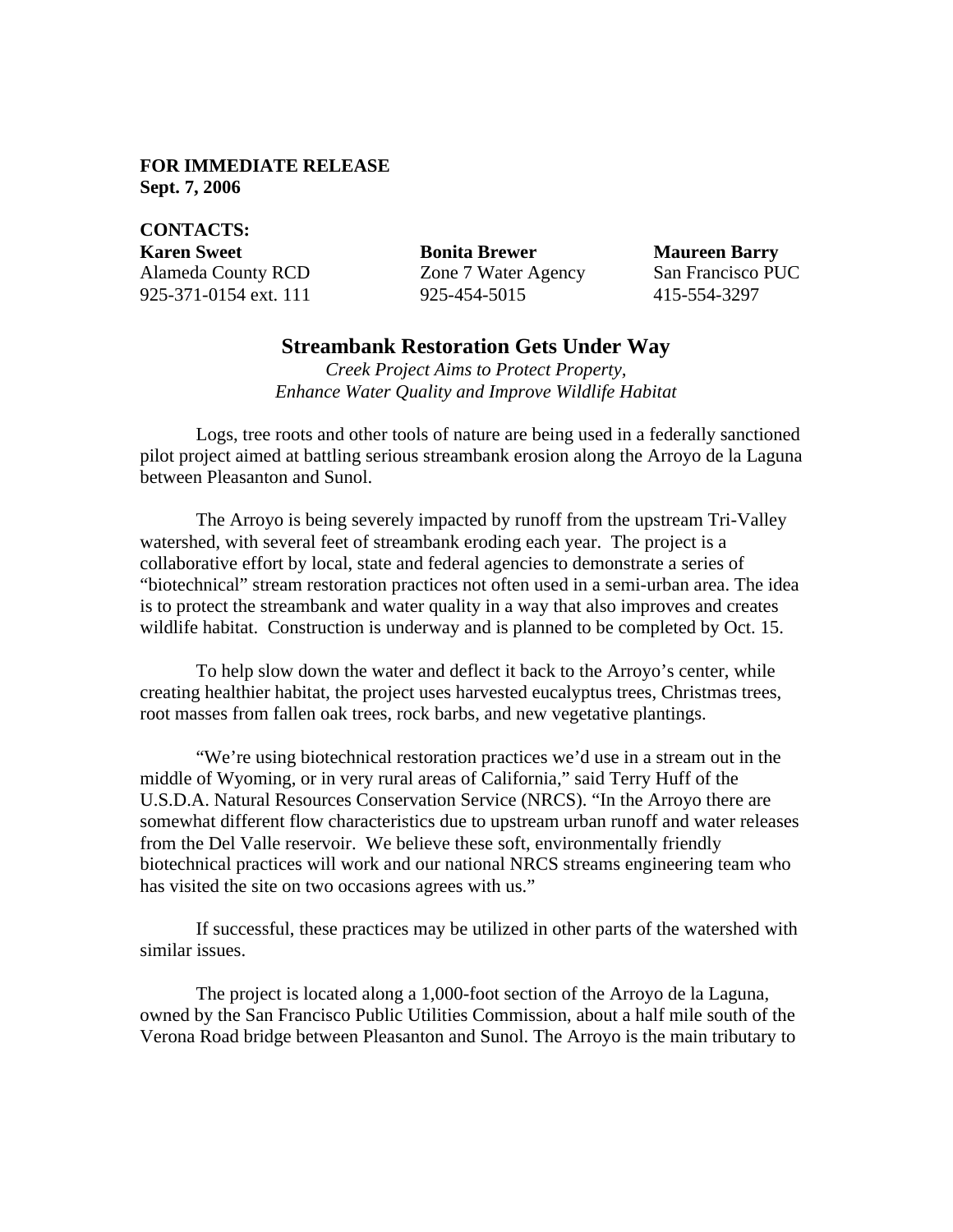## **FOR IMMEDIATE RELEASE Sept. 7, 2006**

**CONTACTS: Karen Sweet Bonita Brewer Maureen Barry** Alameda County RCD Zone 7 Water Agency San Francisco PUC 925-371-0154 ext. 111 925-454-5015 415-554-3297

## **Streambank Restoration Gets Under Way**

*Creek Project Aims to Protect Property, Enhance Water Quality and Improve Wildlife Habitat*

Logs, tree roots and other tools of nature are being used in a federally sanctioned pilot project aimed at battling serious streambank erosion along the Arroyo de la Laguna between Pleasanton and Sunol.

The Arroyo is being severely impacted by runoff from the upstream Tri-Valley watershed, with several feet of streambank eroding each year. The project is a collaborative effort by local, state and federal agencies to demonstrate a series of "biotechnical" stream restoration practices not often used in a semi-urban area. The idea is to protect the streambank and water quality in a way that also improves and creates wildlife habitat. Construction is underway and is planned to be completed by Oct. 15.

To help slow down the water and deflect it back to the Arroyo's center, while creating healthier habitat, the project uses harvested eucalyptus trees, Christmas trees, root masses from fallen oak trees, rock barbs, and new vegetative plantings.

"We're using biotechnical restoration practices we'd use in a stream out in the middle of Wyoming, or in very rural areas of California," said Terry Huff of the U.S.D.A. Natural Resources Conservation Service (NRCS). "In the Arroyo there are somewhat different flow characteristics due to upstream urban runoff and water releases from the Del Valle reservoir. We believe these soft, environmentally friendly biotechnical practices will work and our national NRCS streams engineering team who has visited the site on two occasions agrees with us."

If successful, these practices may be utilized in other parts of the watershed with similar issues.

The project is located along a 1,000-foot section of the Arroyo de la Laguna, owned by the San Francisco Public Utilities Commission, about a half mile south of the Verona Road bridge between Pleasanton and Sunol. The Arroyo is the main tributary to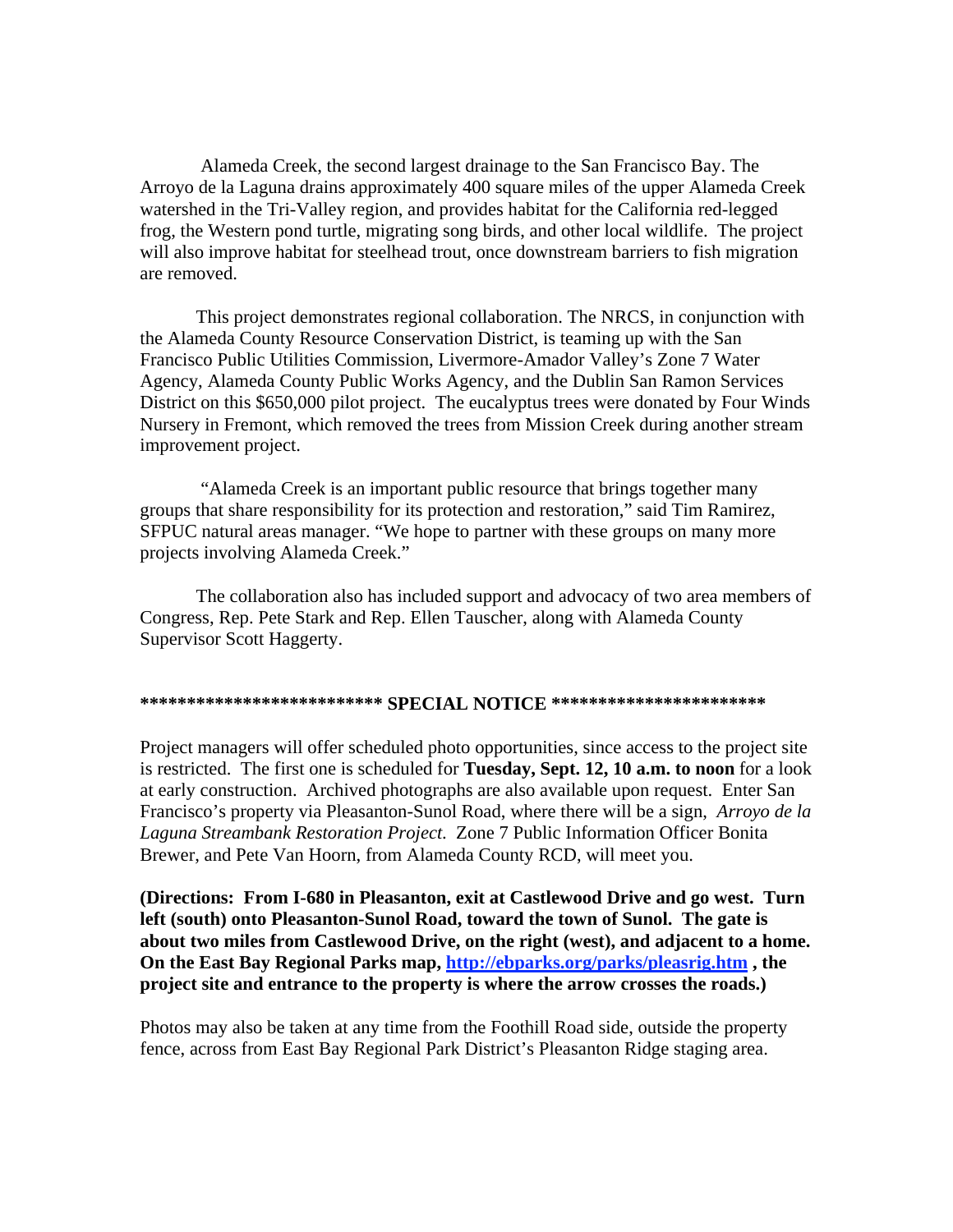Alameda Creek, the second largest drainage to the San Francisco Bay. The Arroyo de la Laguna drains approximately 400 square miles of the upper Alameda Creek watershed in the Tri-Valley region, and provides habitat for the California red-legged frog, the Western pond turtle, migrating song birds, and other local wildlife. The project will also improve habitat for steelhead trout, once downstream barriers to fish migration are removed.

This project demonstrates regional collaboration. The NRCS, in conjunction with the Alameda County Resource Conservation District, is teaming up with the San Francisco Public Utilities Commission, Livermore-Amador Valley's Zone 7 Water Agency, Alameda County Public Works Agency, and the Dublin San Ramon Services District on this \$650,000 pilot project. The eucalyptus trees were donated by Four Winds Nursery in Fremont, which removed the trees from Mission Creek during another stream improvement project.

 "Alameda Creek is an important public resource that brings together many groups that share responsibility for its protection and restoration," said Tim Ramirez, SFPUC natural areas manager. "We hope to partner with these groups on many more projects involving Alameda Creek."

 The collaboration also has included support and advocacy of two area members of Congress, Rep. Pete Stark and Rep. Ellen Tauscher, along with Alameda County Supervisor Scott Haggerty.

## **\*\*\*\*\*\*\*\*\*\*\*\*\*\*\*\*\*\*\*\*\*\*\*\*\*\* SPECIAL NOTICE \*\*\*\*\*\*\*\*\*\*\*\*\*\*\*\*\*\*\*\*\*\*\***

Project managers will offer scheduled photo opportunities, since access to the project site is restricted. The first one is scheduled for **Tuesday, Sept. 12, 10 a.m. to noon** for a look at early construction. Archived photographs are also available upon request. Enter San Francisco's property via Pleasanton-Sunol Road, where there will be a sign, *Arroyo de la Laguna Streambank Restoration Project*. Zone 7 Public Information Officer Bonita Brewer, and Pete Van Hoorn, from Alameda County RCD, will meet you.

**(Directions: From I-680 in Pleasanton, exit at Castlewood Drive and go west. Turn left (south) onto Pleasanton-Sunol Road, toward the town of Sunol. The gate is about two miles from Castlewood Drive, on the right (west), and adjacent to a home. On the East Bay Regional Parks map, http://ebparks.org/parks/pleasrig.htm , the project site and entrance to the property is where the arrow crosses the roads.)**

Photos may also be taken at any time from the Foothill Road side, outside the property fence, across from East Bay Regional Park District's Pleasanton Ridge staging area.